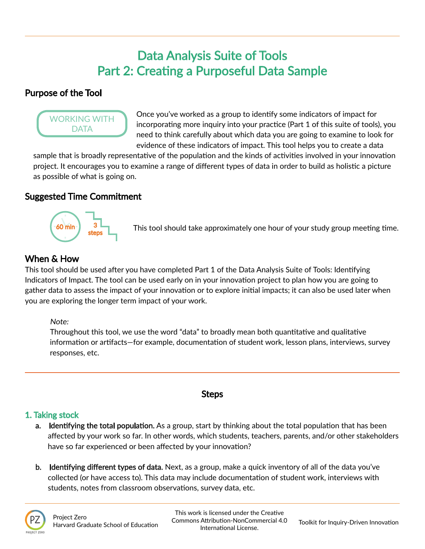# Data Analysis Suite of Tools Part 2: Creating a Purposeful Data Sample

## Purpose of the Tool



Once you've worked as a group to identify some indicators of impact for incorporating more inquiry into your practice (Part 1 of this suite of tools), you need to think carefully about which data you are going to examine to look for evidence of these indicators of impact. This tool helps you to create a data

sample that is broadly representative of the population and the kinds of activities involved in your innovation project. It encourages you to examine a range of different types of data in order to build as holistic a picture as possible of what is going on.

## Suggested Time Commitment



This tool should take approximately one hour of your study group meeting time.

# When & How

This tool should be used after you have completed Part 1 of the Data Analysis Suite of Tools: Identifying Indicators of Impact. The tool can be used early on in your innovation project to plan how you are going to gather data to assess the impact of your innovation or to explore initial impacts; it can also be used later when you are exploring the longer term impact of your work.

#### Note:

Throughout this tool, we use the word "data" to broadly mean both quantitative and qualitative information or artifacts—for example, documentation of student work, lesson plans, interviews, survey responses, etc.

## **Steps**

## 1. Taking stock

- **a. Identifying the total population.** As a group, start by thinking about the total population that has been affected by your work so far. In other words, which students, teachers, parents, and/or other stakeholders have so far experienced or been affected by your innovation?
- b. Identifying different types of data. Next, as a group, make a quick inventory of all of the data you've collected (or have access to). This data may include documentation of student work, interviews with students, notes from classroom observations, survey data, etc.